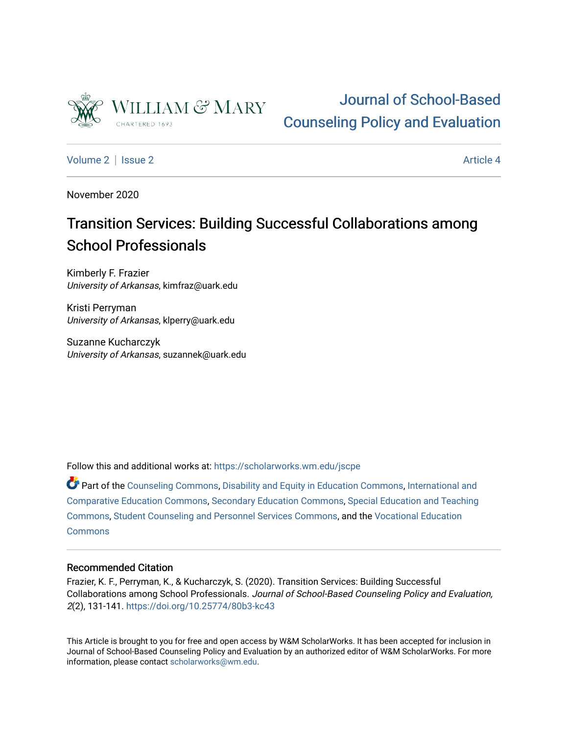

# [Journal of School-Based](https://scholarworks.wm.edu/jscpe)  [Counseling Policy and Evaluation](https://scholarworks.wm.edu/jscpe)

[Volume 2](https://scholarworks.wm.edu/jscpe/vol2) | [Issue 2](https://scholarworks.wm.edu/jscpe/vol2/iss2) Article 4

November 2020

# Transition Services: Building Successful Collaborations among School Professionals

Kimberly F. Frazier University of Arkansas, kimfraz@uark.edu

Kristi Perryman University of Arkansas, klperry@uark.edu

Suzanne Kucharczyk University of Arkansas, suzannek@uark.edu

Follow this and additional works at: [https://scholarworks.wm.edu/jscpe](https://scholarworks.wm.edu/jscpe?utm_source=scholarworks.wm.edu%2Fjscpe%2Fvol2%2Fiss2%2F4&utm_medium=PDF&utm_campaign=PDFCoverPages) 

Part of the [Counseling Commons,](http://network.bepress.com/hgg/discipline/1268?utm_source=scholarworks.wm.edu%2Fjscpe%2Fvol2%2Fiss2%2F4&utm_medium=PDF&utm_campaign=PDFCoverPages) [Disability and Equity in Education Commons,](http://network.bepress.com/hgg/discipline/1040?utm_source=scholarworks.wm.edu%2Fjscpe%2Fvol2%2Fiss2%2F4&utm_medium=PDF&utm_campaign=PDFCoverPages) [International and](http://network.bepress.com/hgg/discipline/797?utm_source=scholarworks.wm.edu%2Fjscpe%2Fvol2%2Fiss2%2F4&utm_medium=PDF&utm_campaign=PDFCoverPages) [Comparative Education Commons,](http://network.bepress.com/hgg/discipline/797?utm_source=scholarworks.wm.edu%2Fjscpe%2Fvol2%2Fiss2%2F4&utm_medium=PDF&utm_campaign=PDFCoverPages) [Secondary Education Commons,](http://network.bepress.com/hgg/discipline/1382?utm_source=scholarworks.wm.edu%2Fjscpe%2Fvol2%2Fiss2%2F4&utm_medium=PDF&utm_campaign=PDFCoverPages) [Special Education and Teaching](http://network.bepress.com/hgg/discipline/801?utm_source=scholarworks.wm.edu%2Fjscpe%2Fvol2%2Fiss2%2F4&utm_medium=PDF&utm_campaign=PDFCoverPages) [Commons](http://network.bepress.com/hgg/discipline/801?utm_source=scholarworks.wm.edu%2Fjscpe%2Fvol2%2Fiss2%2F4&utm_medium=PDF&utm_campaign=PDFCoverPages), [Student Counseling and Personnel Services Commons,](http://network.bepress.com/hgg/discipline/802?utm_source=scholarworks.wm.edu%2Fjscpe%2Fvol2%2Fiss2%2F4&utm_medium=PDF&utm_campaign=PDFCoverPages) and the [Vocational Education](http://network.bepress.com/hgg/discipline/1369?utm_source=scholarworks.wm.edu%2Fjscpe%2Fvol2%2Fiss2%2F4&utm_medium=PDF&utm_campaign=PDFCoverPages) **[Commons](http://network.bepress.com/hgg/discipline/1369?utm_source=scholarworks.wm.edu%2Fjscpe%2Fvol2%2Fiss2%2F4&utm_medium=PDF&utm_campaign=PDFCoverPages)** 

# Recommended Citation

Frazier, K. F., Perryman, K., & Kucharczyk, S. (2020). Transition Services: Building Successful Collaborations among School Professionals. Journal of School-Based Counseling Policy and Evaluation, 2(2), 131-141.<https://doi.org/10.25774/80b3-kc43>

This Article is brought to you for free and open access by W&M ScholarWorks. It has been accepted for inclusion in Journal of School-Based Counseling Policy and Evaluation by an authorized editor of W&M ScholarWorks. For more information, please contact [scholarworks@wm.edu](mailto:scholarworks@wm.edu).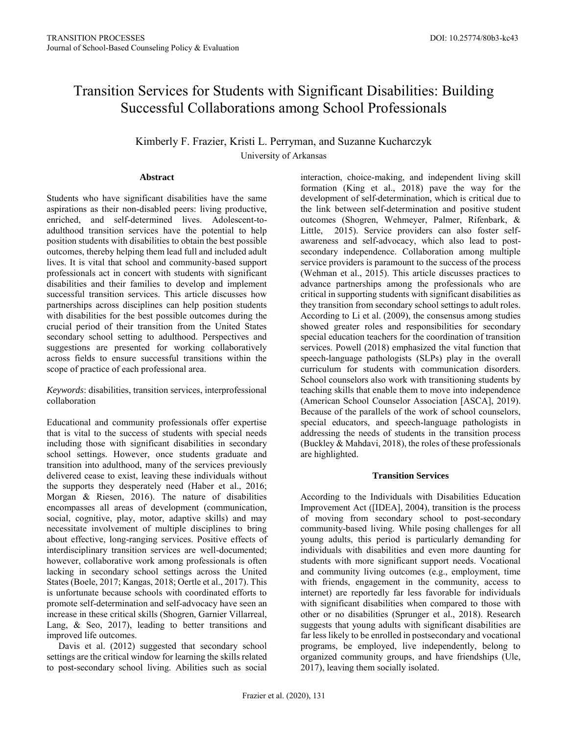# Transition Services for Students with Significant Disabilities: Building Successful Collaborations among School Professionals

Kimberly F. Frazier, Kristi L. Perryman, and Suzanne Kucharczyk University of Arkansas

# **Abstract**

Students who have significant disabilities have the same aspirations as their non-disabled peers: living productive, enriched, and self-determined lives. Adolescent-toadulthood transition services have the potential to help position students with disabilities to obtain the best possible outcomes, thereby helping them lead full and included adult lives. It is vital that school and community-based support professionals act in concert with students with significant disabilities and their families to develop and implement successful transition services. This article discusses how partnerships across disciplines can help position students with disabilities for the best possible outcomes during the crucial period of their transition from the United States secondary school setting to adulthood. Perspectives and suggestions are presented for working collaboratively across fields to ensure successful transitions within the scope of practice of each professional area.

*Keywords*: disabilities, transition services, interprofessional collaboration

Educational and community professionals offer expertise that is vital to the success of students with special needs including those with significant disabilities in secondary school settings. However, once students graduate and transition into adulthood, many of the services previously delivered cease to exist, leaving these individuals without the supports they desperately need (Haber et al., 2016; Morgan & Riesen, 2016). The nature of disabilities encompasses all areas of development (communication, social, cognitive, play, motor, adaptive skills) and may necessitate involvement of multiple disciplines to bring about effective, long-ranging services. Positive effects of interdisciplinary transition services are well-documented; however, collaborative work among professionals is often lacking in secondary school settings across the United States (Boele, 2017; Kangas, 2018; Oertle et al., 2017). This is unfortunate because schools with coordinated efforts to promote self-determination and self-advocacy have seen an increase in these critical skills (Shogren, Garnier Villarreal, Lang, & Seo, 2017), leading to better transitions and improved life outcomes.

Davis et al. (2012) suggested that secondary school settings are the critical window for learning the skills related to post-secondary school living. Abilities such as social interaction, choice-making, and independent living skill formation (King et al., 2018) pave the way for the development of self-determination, which is critical due to the link between self-determination and positive student outcomes (Shogren, Wehmeyer, Palmer, Rifenbark, & Little, 2015). Service providers can also foster selfawareness and self-advocacy, which also lead to postsecondary independence. Collaboration among multiple service providers is paramount to the success of the process (Wehman et al., 2015). This article discusses practices to advance partnerships among the professionals who are critical in supporting students with significant disabilities as they transition from secondary school settings to adult roles. According to Li et al. (2009), the consensus among studies showed greater roles and responsibilities for secondary special education teachers for the coordination of transition services. Powell (2018) emphasized the vital function that speech-language pathologists (SLPs) play in the overall curriculum for students with communication disorders. School counselors also work with transitioning students by teaching skills that enable them to move into independence (American School Counselor Association [ASCA], 2019). Because of the parallels of the work of school counselors, special educators, and speech-language pathologists in addressing the needs of students in the transition process (Buckley & Mahdavi, 2018), the roles of these professionals are highlighted.

# **Transition Services**

According to the Individuals with Disabilities Education Improvement Act ([IDEA], 2004), transition is the process of moving from secondary school to post-secondary community-based living. While posing challenges for all young adults, this period is particularly demanding for individuals with disabilities and even more daunting for students with more significant support needs. Vocational and community living outcomes (e.g., employment, time with friends, engagement in the community, access to internet) are reportedly far less favorable for individuals with significant disabilities when compared to those with other or no disabilities (Sprunger et al., 2018). Research suggests that young adults with significant disabilities are far less likely to be enrolled in postsecondary and vocational programs, be employed, live independently, belong to organized community groups, and have friendships (Ule, 2017), leaving them socially isolated.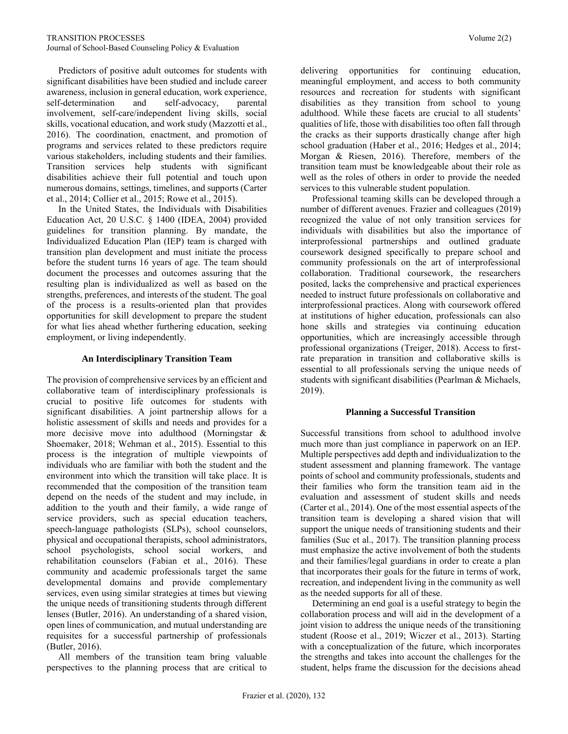Predictors of positive adult outcomes for students with significant disabilities have been studied and include career awareness, inclusion in general education, work experience, self-determination and self-advocacy, parental involvement, self-care/independent living skills, social skills, vocational education, and work study (Mazzotti et al., 2016). The coordination, enactment, and promotion of programs and services related to these predictors require various stakeholders, including students and their families. Transition services help students with significant disabilities achieve their full potential and touch upon numerous domains, settings, timelines, and supports (Carter et al., 2014; Collier et al., 2015; Rowe et al., 2015).

 In the United States, the Individuals with Disabilities Education Act, 20 U.S.C. § 1400 (IDEA, 2004) provided guidelines for transition planning. By mandate, the Individualized Education Plan (IEP) team is charged with transition plan development and must initiate the process before the student turns 16 years of age. The team should document the processes and outcomes assuring that the resulting plan is individualized as well as based on the strengths, preferences, and interests of the student. The goal of the process is a results-oriented plan that provides opportunities for skill development to prepare the student for what lies ahead whether furthering education, seeking employment, or living independently.

# **An Interdisciplinary Transition Team**

The provision of comprehensive services by an efficient and collaborative team of interdisciplinary professionals is crucial to positive life outcomes for students with significant disabilities. A joint partnership allows for a holistic assessment of skills and needs and provides for a more decisive move into adulthood (Morningstar & Shoemaker, 2018; Wehman et al., 2015). Essential to this process is the integration of multiple viewpoints of individuals who are familiar with both the student and the environment into which the transition will take place. It is recommended that the composition of the transition team depend on the needs of the student and may include, in addition to the youth and their family, a wide range of service providers, such as special education teachers, speech-language pathologists (SLPs), school counselors, physical and occupational therapists, school administrators, school psychologists, school social workers, and rehabilitation counselors (Fabian et al., 2016). These community and academic professionals target the same developmental domains and provide complementary services, even using similar strategies at times but viewing the unique needs of transitioning students through different lenses (Butler, 2016). An understanding of a shared vision, open lines of communication, and mutual understanding are requisites for a successful partnership of professionals (Butler, 2016).

 All members of the transition team bring valuable perspectives to the planning process that are critical to delivering opportunities for continuing education, meaningful employment, and access to both community resources and recreation for students with significant disabilities as they transition from school to young adulthood. While these facets are crucial to all students' qualities of life, those with disabilities too often fall through the cracks as their supports drastically change after high school graduation (Haber et al., 2016; Hedges et al., 2014; Morgan & Riesen, 2016). Therefore, members of the transition team must be knowledgeable about their role as well as the roles of others in order to provide the needed services to this vulnerable student population.

 Professional teaming skills can be developed through a number of different avenues. Frazier and colleagues (2019) recognized the value of not only transition services for individuals with disabilities but also the importance of interprofessional partnerships and outlined graduate coursework designed specifically to prepare school and community professionals on the art of interprofessional collaboration. Traditional coursework, the researchers posited, lacks the comprehensive and practical experiences needed to instruct future professionals on collaborative and interprofessional practices. Along with coursework offered at institutions of higher education, professionals can also hone skills and strategies via continuing education opportunities, which are increasingly accessible through professional organizations (Treiger, 2018). Access to firstrate preparation in transition and collaborative skills is essential to all professionals serving the unique needs of students with significant disabilities (Pearlman & Michaels, 2019).

### **Planning a Successful Transition**

Successful transitions from school to adulthood involve much more than just compliance in paperwork on an IEP. Multiple perspectives add depth and individualization to the student assessment and planning framework. The vantage points of school and community professionals, students and their families who form the transition team aid in the evaluation and assessment of student skills and needs (Carter et al., 2014). One of the most essential aspects of the transition team is developing a shared vision that will support the unique needs of transitioning students and their families (Suc et al., 2017). The transition planning process must emphasize the active involvement of both the students and their families/legal guardians in order to create a plan that incorporates their goals for the future in terms of work, recreation, and independent living in the community as well as the needed supports for all of these.

 Determining an end goal is a useful strategy to begin the collaboration process and will aid in the development of a joint vision to address the unique needs of the transitioning student (Roose et al., 2019; Wiczer et al., 2013). Starting with a conceptualization of the future, which incorporates the strengths and takes into account the challenges for the student, helps frame the discussion for the decisions ahead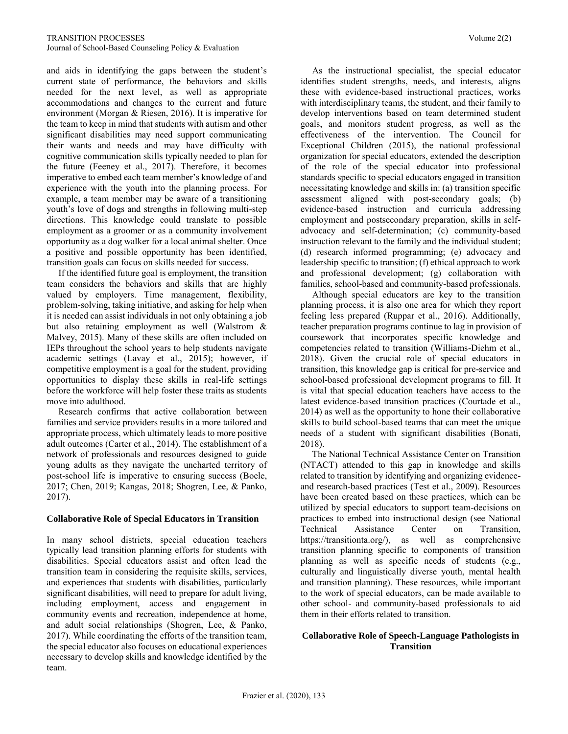and aids in identifying the gaps between the student's current state of performance, the behaviors and skills needed for the next level, as well as appropriate accommodations and changes to the current and future environment (Morgan & Riesen, 2016). It is imperative for the team to keep in mind that students with autism and other significant disabilities may need support communicating their wants and needs and may have difficulty with cognitive communication skills typically needed to plan for the future (Feeney et al., 2017). Therefore, it becomes imperative to embed each team member's knowledge of and experience with the youth into the planning process. For example, a team member may be aware of a transitioning youth's love of dogs and strengths in following multi-step directions. This knowledge could translate to possible employment as a groomer or as a community involvement opportunity as a dog walker for a local animal shelter. Once a positive and possible opportunity has been identified, transition goals can focus on skills needed for success.

 If the identified future goal is employment, the transition team considers the behaviors and skills that are highly valued by employers. Time management, flexibility, problem-solving, taking initiative, and asking for help when it is needed can assist individuals in not only obtaining a job but also retaining employment as well (Walstrom & Malvey, 2015). Many of these skills are often included on IEPs throughout the school years to help students navigate academic settings (Lavay et al., 2015); however, if competitive employment is a goal for the student, providing opportunities to display these skills in real-life settings before the workforce will help foster these traits as students move into adulthood.

 Research confirms that active collaboration between families and service providers results in a more tailored and appropriate process, which ultimately leads to more positive adult outcomes (Carter et al., 2014). The establishment of a network of professionals and resources designed to guide young adults as they navigate the uncharted territory of post-school life is imperative to ensuring success (Boele, 2017; Chen, 2019; Kangas, 2018; Shogren, Lee, & Panko, 2017).

#### **Collaborative Role of Special Educators in Transition**

In many school districts, special education teachers typically lead transition planning efforts for students with disabilities. Special educators assist and often lead the transition team in considering the requisite skills, services, and experiences that students with disabilities, particularly significant disabilities, will need to prepare for adult living, including employment, access and engagement in community events and recreation, independence at home, and adult social relationships (Shogren, Lee, & Panko, 2017). While coordinating the efforts of the transition team, the special educator also focuses on educational experiences necessary to develop skills and knowledge identified by the team.

 As the instructional specialist, the special educator identifies student strengths, needs, and interests, aligns these with evidence-based instructional practices, works with interdisciplinary teams, the student, and their family to develop interventions based on team determined student goals, and monitors student progress, as well as the effectiveness of the intervention. The Council for Exceptional Children (2015), the national professional organization for special educators, extended the description of the role of the special educator into professional standards specific to special educators engaged in transition necessitating knowledge and skills in: (a) transition specific assessment aligned with post-secondary goals; (b) evidence-based instruction and curricula addressing employment and postsecondary preparation, skills in selfadvocacy and self-determination; (c) community-based instruction relevant to the family and the individual student; (d) research informed programming; (e) advocacy and leadership specific to transition; (f) ethical approach to work and professional development; (g) collaboration with families, school-based and community-based professionals.

 Although special educators are key to the transition planning process, it is also one area for which they report feeling less prepared (Ruppar et al., 2016). Additionally, teacher preparation programs continue to lag in provision of coursework that incorporates specific knowledge and competencies related to transition (Williams-Diehm et al., 2018). Given the crucial role of special educators in transition, this knowledge gap is critical for pre-service and school-based professional development programs to fill. It is vital that special education teachers have access to the latest evidence-based transition practices (Courtade et al., 2014) as well as the opportunity to hone their collaborative skills to build school-based teams that can meet the unique needs of a student with significant disabilities (Bonati, 2018).

 The National Technical Assistance Center on Transition (NTACT) attended to this gap in knowledge and skills related to transition by identifying and organizing evidenceand research-based practices (Test et al., 2009). Resources have been created based on these practices, which can be utilized by special educators to support team-decisions on practices to embed into instructional design (see National Technical Assistance Center on Transition, [https://transitionta.org/\)](https://transitionta.org/), as well as comprehensive transition planning specific to components of transition planning as well as specific needs of students (e.g., culturally and linguistically diverse youth, mental health and transition planning). These resources, while important to the work of special educators, can be made available to other school- and community-based professionals to aid them in their efforts related to transition.

# **Collaborative Role of Speech-Language Pathologists in Transition**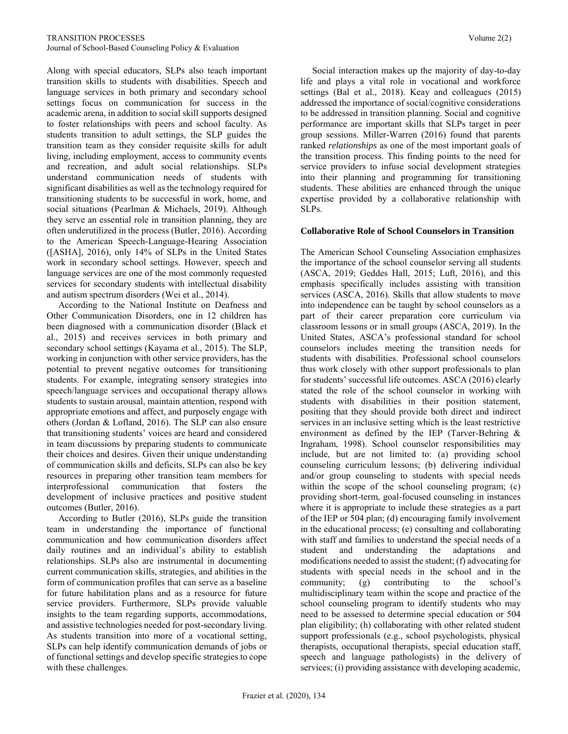Along with special educators, SLPs also teach important transition skills to students with disabilities. Speech and language services in both primary and secondary school settings focus on communication for success in the academic arena, in addition to social skill supports designed to foster relationships with peers and school faculty. As students transition to adult settings, the SLP guides the transition team as they consider requisite skills for adult living, including employment, access to community events and recreation, and adult social relationships. SLPs understand communication needs of students with significant disabilities as well as the technology required for transitioning students to be successful in work, home, and social situations (Pearlman & Michaels, 2019). Although they serve an essential role in transition planning, they are often underutilized in the process (Butler, 2016). According to the American Speech-Language-Hearing Association ([ASHA], 2016), only 14% of SLPs in the United States work in secondary school settings. However, speech and language services are one of the most commonly requested services for secondary students with intellectual disability and autism spectrum disorders (Wei et al., 2014).

 According to the National Institute on Deafness and Other Communication Disorders, one in 12 children has been diagnosed with a communication disorder (Black et al., 2015) and receives services in both primary and secondary school settings (Kayama et al., 2015). The SLP, working in conjunction with other service providers, has the potential to prevent negative outcomes for transitioning students. For example, integrating sensory strategies into speech/language services and occupational therapy allows students to sustain arousal, maintain attention, respond with appropriate emotions and affect, and purposely engage with others (Jordan & Lofland, 2016). The SLP can also ensure that transitioning students' voices are heard and considered in team discussions by preparing students to communicate their choices and desires. Given their unique understanding of communication skills and deficits, SLPs can also be key resources in preparing other transition team members for interprofessional communication that fosters the development of inclusive practices and positive student outcomes (Butler, 2016).

 According to Butler (2016), SLPs guide the transition team in understanding the importance of functional communication and how communication disorders affect daily routines and an individual's ability to establish relationships. SLPs also are instrumental in documenting current communication skills, strategies, and abilities in the form of communication profiles that can serve as a baseline for future habilitation plans and as a resource for future service providers. Furthermore, SLPs provide valuable insights to the team regarding supports, accommodations, and assistive technologies needed for post-secondary living. As students transition into more of a vocational setting, SLPs can help identify communication demands of jobs or of functional settings and develop specific strategies to cope with these challenges.

 Social interaction makes up the majority of day-to-day life and plays a vital role in vocational and workforce settings (Bal et al., 2018). Keay and colleagues (2015) addressed the importance of social/cognitive considerations to be addressed in transition planning. Social and cognitive performance are important skills that SLPs target in peer group sessions. Miller-Warren (2016) found that parents ranked *relationships* as one of the most important goals of the transition process. This finding points to the need for service providers to infuse social development strategies into their planning and programming for transitioning students. These abilities are enhanced through the unique expertise provided by a collaborative relationship with SLPs.

# **Collaborative Role of School Counselors in Transition**

The American School Counseling Association emphasizes the importance of the school counselor serving all students (ASCA, 2019; Geddes Hall, 2015; Luft, 2016), and this emphasis specifically includes assisting with transition services (ASCA, 2016). Skills that allow students to move into independence can be taught by school counselors as a part of their career preparation core curriculum via classroom lessons or in small groups (ASCA, 2019). In the United States, ASCA's professional standard for school counselors includes meeting the transition needs for students with disabilities. Professional school counselors thus work closely with other support professionals to plan for students' successful life outcomes. ASCA (2016) clearly stated the role of the school counselor in working with students with disabilities in their position statement, positing that they should provide both direct and indirect services in an inclusive setting which is the least restrictive environment as defined by the IEP (Tarver-Behring & Ingraham, 1998). School counselor responsibilities may include, but are not limited to: (a) providing school counseling curriculum lessons; (b) delivering individual and/or group counseling to students with special needs within the scope of the school counseling program; (c) providing short-term, goal-focused counseling in instances where it is appropriate to include these strategies as a part of the IEP or 504 plan; (d) encouraging family involvement in the educational process; (e) consulting and collaborating with staff and families to understand the special needs of a student and understanding the adaptations and modifications needed to assist the student; (f) advocating for students with special needs in the school and in the community; (g) contributing to the school's multidisciplinary team within the scope and practice of the school counseling program to identify students who may need to be assessed to determine special education or 504 plan eligibility; (h) collaborating with other related student support professionals (e.g., school psychologists, physical therapists, occupational therapists, special education staff, speech and language pathologists) in the delivery of services; (i) providing assistance with developing academic,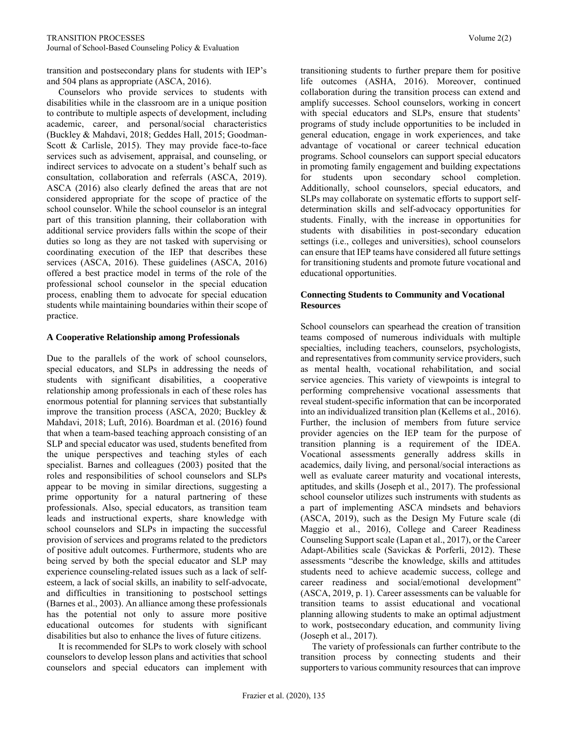transition and postsecondary plans for students with IEP's and 504 plans as appropriate (ASCA, 2016).

 Counselors who provide services to students with disabilities while in the classroom are in a unique position to contribute to multiple aspects of development, including academic, career, and personal/social characteristics (Buckley & Mahdavi, 2018; Geddes Hall, 2015; Goodman-Scott & Carlisle, 2015). They may provide face-to-face services such as advisement, appraisal, and counseling, or indirect services to advocate on a student's behalf such as consultation, collaboration and referrals (ASCA, 2019). ASCA (2016) also clearly defined the areas that are not considered appropriate for the scope of practice of the school counselor. While the school counselor is an integral part of this transition planning, their collaboration with additional service providers falls within the scope of their duties so long as they are not tasked with supervising or coordinating execution of the IEP that describes these services (ASCA, 2016). These guidelines (ASCA, 2016) offered a best practice model in terms of the role of the professional school counselor in the special education process, enabling them to advocate for special education students while maintaining boundaries within their scope of practice.

# **A Cooperative Relationship among Professionals**

Due to the parallels of the work of school counselors, special educators, and SLPs in addressing the needs of students with significant disabilities, a cooperative relationship among professionals in each of these roles has enormous potential for planning services that substantially improve the transition process (ASCA, 2020; Buckley & Mahdavi, 2018; Luft, 2016). Boardman et al. (2016) found that when a team-based teaching approach consisting of an SLP and special educator was used, students benefited from the unique perspectives and teaching styles of each specialist. Barnes and colleagues (2003) posited that the roles and responsibilities of school counselors and SLPs appear to be moving in similar directions, suggesting a prime opportunity for a natural partnering of these professionals. Also, special educators, as transition team leads and instructional experts, share knowledge with school counselors and SLPs in impacting the successful provision of services and programs related to the predictors of positive adult outcomes. Furthermore, students who are being served by both the special educator and SLP may experience counseling-related issues such as a lack of selfesteem, a lack of social skills, an inability to self-advocate, and difficulties in transitioning to postschool settings (Barnes et al., 2003). An alliance among these professionals has the potential not only to assure more positive educational outcomes for students with significant disabilities but also to enhance the lives of future citizens.

 It is recommended for SLPs to work closely with school counselors to develop lesson plans and activities that school counselors and special educators can implement with transitioning students to further prepare them for positive life outcomes (ASHA, 2016). Moreover, continued collaboration during the transition process can extend and amplify successes. School counselors, working in concert with special educators and SLPs, ensure that students' programs of study include opportunities to be included in general education, engage in work experiences, and take advantage of vocational or career technical education programs. School counselors can support special educators in promoting family engagement and building expectations for students upon secondary school completion. Additionally, school counselors, special educators, and SLPs may collaborate on systematic efforts to support selfdetermination skills and self-advocacy opportunities for students. Finally, with the increase in opportunities for students with disabilities in post-secondary education settings (i.e., colleges and universities), school counselors can ensure that IEP teams have considered all future settings for transitioning students and promote future vocational and educational opportunities.

# **Connecting Students to Community and Vocational Resources**

School counselors can spearhead the creation of transition teams composed of numerous individuals with multiple specialties, including teachers, counselors, psychologists, and representatives from community service providers, such as mental health, vocational rehabilitation, and social service agencies. This variety of viewpoints is integral to performing comprehensive vocational assessments that reveal student-specific information that can be incorporated into an individualized transition plan (Kellems et al., 2016). Further, the inclusion of members from future service provider agencies on the IEP team for the purpose of transition planning is a requirement of the IDEA. Vocational assessments generally address skills in academics, daily living, and personal/social interactions as well as evaluate career maturity and vocational interests, aptitudes, and skills (Joseph et al., 2017). The professional school counselor utilizes such instruments with students as a part of implementing ASCA mindsets and behaviors (ASCA, 2019), such as the Design My Future scale (di Maggio et al., 2016), College and Career Readiness Counseling Support scale (Lapan et al., 2017), or the Career Adapt-Abilities scale (Savickas & Porferli, 2012). These assessments "describe the knowledge, skills and attitudes students need to achieve academic success, college and career readiness and social/emotional development" (ASCA, 2019, p. 1). Career assessments can be valuable for transition teams to assist educational and vocational planning allowing students to make an optimal adjustment to work, postsecondary education, and community living (Joseph et al., 2017).

 The variety of professionals can further contribute to the transition process by connecting students and their supporters to various community resources that can improve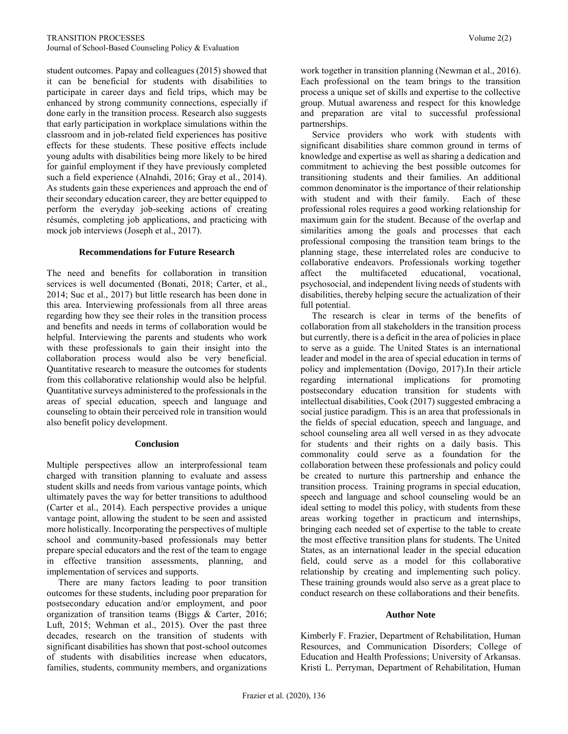student outcomes. Papay and colleagues (2015) showed that it can be beneficial for students with disabilities to participate in career days and field trips, which may be enhanced by strong community connections, especially if done early in the transition process. Research also suggests that early participation in workplace simulations within the classroom and in job-related field experiences has positive effects for these students. These positive effects include young adults with disabilities being more likely to be hired for gainful employment if they have previously completed such a field experience (Alnahdi, 2016; Gray et al., 2014). As students gain these experiences and approach the end of their secondary education career, they are better equipped to perform the everyday job-seeking actions of creating résumés, completing job applications, and practicing with mock job interviews (Joseph et al., 2017).

# **Recommendations for Future Research**

The need and benefits for collaboration in transition services is well documented (Bonati, 2018; Carter, et al., 2014; Suc et al., 2017) but little research has been done in this area. Interviewing professionals from all three areas regarding how they see their roles in the transition process and benefits and needs in terms of collaboration would be helpful. Interviewing the parents and students who work with these professionals to gain their insight into the collaboration process would also be very beneficial. Quantitative research to measure the outcomes for students from this collaborative relationship would also be helpful. Quantitative surveys administered to the professionals in the areas of special education, speech and language and counseling to obtain their perceived role in transition would also benefit policy development.

#### **Conclusion**

Multiple perspectives allow an interprofessional team charged with transition planning to evaluate and assess student skills and needs from various vantage points, which ultimately paves the way for better transitions to adulthood (Carter et al., 2014). Each perspective provides a unique vantage point, allowing the student to be seen and assisted more holistically. Incorporating the perspectives of multiple school and community-based professionals may better prepare special educators and the rest of the team to engage in effective transition assessments, planning, and implementation of services and supports.

 There are many factors leading to poor transition outcomes for these students, including poor preparation for postsecondary education and/or employment, and poor organization of transition teams (Biggs & Carter, 2016; Luft, 2015; Wehman et al., 2015). Over the past three decades, research on the transition of students with significant disabilities has shown that post-school outcomes of students with disabilities increase when educators, families, students, community members, and organizations work together in transition planning (Newman et al., 2016). Each professional on the team brings to the transition process a unique set of skills and expertise to the collective group. Mutual awareness and respect for this knowledge and preparation are vital to successful professional partnerships.

 Service providers who work with students with significant disabilities share common ground in terms of knowledge and expertise as well as sharing a dedication and commitment to achieving the best possible outcomes for transitioning students and their families. An additional common denominator is the importance of their relationship with student and with their family. Each of these professional roles requires a good working relationship for maximum gain for the student. Because of the overlap and similarities among the goals and processes that each professional composing the transition team brings to the planning stage, these interrelated roles are conducive to collaborative endeavors. Professionals working together affect the multifaceted educational, vocational, psychosocial, and independent living needs of students with disabilities, thereby helping secure the actualization of their full potential.

 The research is clear in terms of the benefits of collaboration from all stakeholders in the transition process but currently, there is a deficit in the area of policies in place to serve as a guide. The United States is an international leader and model in the area of special education in terms of policy and implementation (Dovigo, 2017).In their article regarding international implications for promoting postsecondary education transition for students with intellectual disabilities, Cook (2017) suggested embracing a social justice paradigm. This is an area that professionals in the fields of special education, speech and language, and school counseling area all well versed in as they advocate for students and their rights on a daily basis. This commonality could serve as a foundation for the collaboration between these professionals and policy could be created to nurture this partnership and enhance the transition process. Training programs in special education, speech and language and school counseling would be an ideal setting to model this policy, with students from these areas working together in practicum and internships, bringing each needed set of expertise to the table to create the most effective transition plans for students. The United States, as an international leader in the special education field, could serve as a model for this collaborative relationship by creating and implementing such policy. These training grounds would also serve as a great place to conduct research on these collaborations and their benefits.

#### **Author Note**

Kimberly F. Frazier, Department of Rehabilitation, Human Resources, and Communication Disorders; College of Education and Health Professions; University of Arkansas. Kristi L. Perryman, Department of Rehabilitation, Human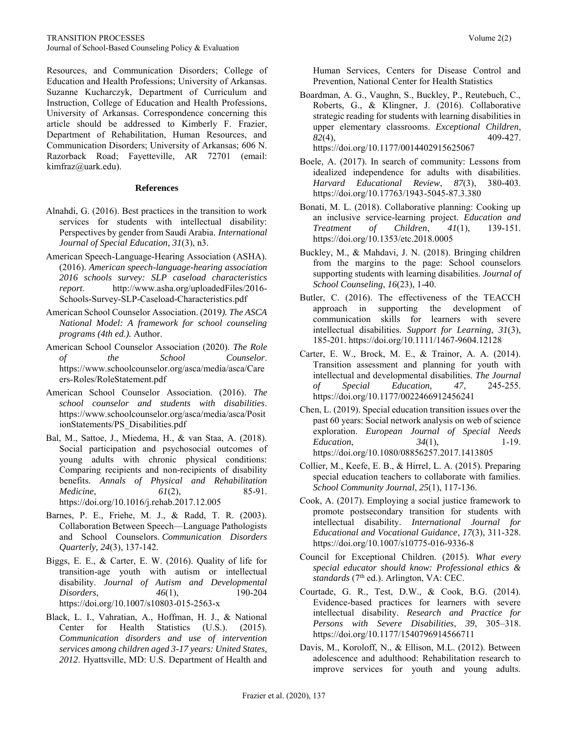Resources, and Communication Disorders; College of Education and Health Professions; University of Arkansas. Suzanne Kucharczyk, Department of Curriculum and Instruction, College of Education and Health Professions, University of Arkansas. Correspondence concerning this article should be addressed to Kimberly F. Frazier, Department of Rehabilitation, Human Resources, and Communication Disorders; University of Arkansas; 606 N. Razorback Road; Fayetteville, AR 72701 (email: kimfraz@uark.edu).

#### **References**

- Alnahdi, G. (2016). Best practices in the transition to work services for students with intellectual disability: Perspectives by gender from Saudi Arabia. *International Journal of Special Education, 31*(3), n3.
- American Speech-Language-Hearing Association (ASHA). (2016). *American speech-language-hearing association 2016 schools survey: SLP caseload characteristics report*. [http://www.asha.org/uploadedFiles/2016-](http://www.asha.org/uploadedFiles/2016-Schools-Survey-SLP-Caseload-Characteristics.pdf) [Schools-Survey-SLP-Caseload-Characteristics.pdf](http://www.asha.org/uploadedFiles/2016-Schools-Survey-SLP-Caseload-Characteristics.pdf)
- American School Counselor Association. (2019*). The ASCA National Model: A framework for school counseling programs (4th ed.).* Author.
- American School Counselor Association (2020). *The Role of the School Counselor*. [https://www.schoolcounselor.org/asca/media/asca/Care](https://www.schoolcounselor.org/asca/media/asca/Careers-Roles/RoleStatement.pdf) [ers-Roles/RoleStatement.pdf](https://www.schoolcounselor.org/asca/media/asca/Careers-Roles/RoleStatement.pdf)
- American School Counselor Association. (2016). *The school counselor and students with disabilities*. [https://www.schoolcounselor.org/asca/media/asca/Posit](https://www.schoolcounselor.org/asca/media/asca/PositionStatements/PS_Disabilities.pdf) [ionStatements/PS\\_Disabilities.pdf](https://www.schoolcounselor.org/asca/media/asca/PositionStatements/PS_Disabilities.pdf)
- Bal, M., Sattoe, J., Miedema, H., & van Staa, A. (2018). Social participation and psychosocial outcomes of young adults with chronic physical conditions: Comparing recipients and non-recipients of disability benefits. *Annals of Physical and Rehabilitation Medicine*, *61*(2), 85-91. <https://doi.org/10.1016/j.rehab.2017.12.005>
- Barnes, P. E., Friehe, M. J., & Radd, T. R. (2003). Collaboration Between Speech—Language Pathologists and School Counselors. *Communication Disorders Quarterly, 24*(3), 137-142.
- Biggs, E. E., & Carter, E. W. (2016). Quality of life for transition-age youth with autism or intellectual disability. *Journal of Autism and Developmental Disorders*, *46*(1), 190-204 <https://doi.org/10.1007/s10803-015-2563-x>
- Black, L. I., Vahratian, A., Hoffman, H. J., & National Center for Health Statistics (U.S.). (2015). *Communication disorders and use of intervention services among children aged 3-17 years: United States, 2012*. Hyattsville, MD: U.S. Department of Health and

Human Services, Centers for Disease Control and Prevention, National Center for Health Statistics

- Boardman, A. G., Vaughn, S., Buckley, P., Reutebuch, C., Roberts, G., & Klingner, J. (2016). Collaborative strategic reading for students with learning disabilities in upper elementary classrooms. *Exceptional Children*, *82*(4), 409-427. <https://doi.org/10.1177/0014402915625067>
- Boele, A. (2017). In search of community: Lessons from idealized independence for adults with disabilities. *Harvard Educational Review*, *87*(3), 380-403. <https://doi.org/10.17763/1943-5045-87.3.380>
- Bonati, M. L. (2018). Collaborative planning: Cooking up an inclusive service-learning project. *Education and Treatment of Children*, *41*(1), 139-151. <https://doi.org/10.1353/etc.2018.0005>
- Buckley, M., & Mahdavi, J. N. (2018). Bringing children from the margins to the page: School counselors supporting students with learning disabilities. *Journal of School Counseling*, *16*(23), 1-40.
- Butler, C. (2016). The effectiveness of the TEACCH approach in supporting the development of communication skills for learners with severe intellectual disabilities. *Support for Learning*, *31*(3), 185-201.<https://doi.org/10.1111/1467-9604.12128>
- Carter, E. W., Brock, M. E., & Trainor, A. A. (2014). Transition assessment and planning for youth with intellectual and developmental disabilities. *The Journal of Special Education, 47*, 245-255. <https://doi.org/10.1177/0022466912456241>
- Chen, L. (2019). Special education transition issues over the past 60 years: Social network analysis on web of science exploration. *European Journal of Special Needs Education*, *34*(1), 1-19. <https://doi.org/10.1080/08856257.2017.1413805>
- Collier, M., Keefe, E. B., & Hirrel, L. A. (2015). Preparing special education teachers to collaborate with families. *School Community Journal*, *25*(1), 117-136.
- Cook, A. (2017). Employing a social justice framework to promote postsecondary transition for students with intellectual disability. *International Journal for Educational and Vocational Guidance*, *17*(3), 311-328. <https://doi.org/10.1007/s10775-016-9336-8>
- Council for Exceptional Children. (2015). *What every special educator should know: Professional ethics & standards* (7<sup>th</sup> ed.). Arlington, VA: CEC.
- Courtade, G. R., Test, D.W., & Cook, B.G. (2014). Evidence-based practices for learners with severe intellectual disability. *Research and Practice for Persons with Severe Disabilities*, *39*, 305–318. <https://doi.org/10.1177/1540796914566711>
- Davis, M., Koroloff, N., & Ellison, M.L. (2012). Between adolescence and adulthood: Rehabilitation research to improve services for youth and young adults.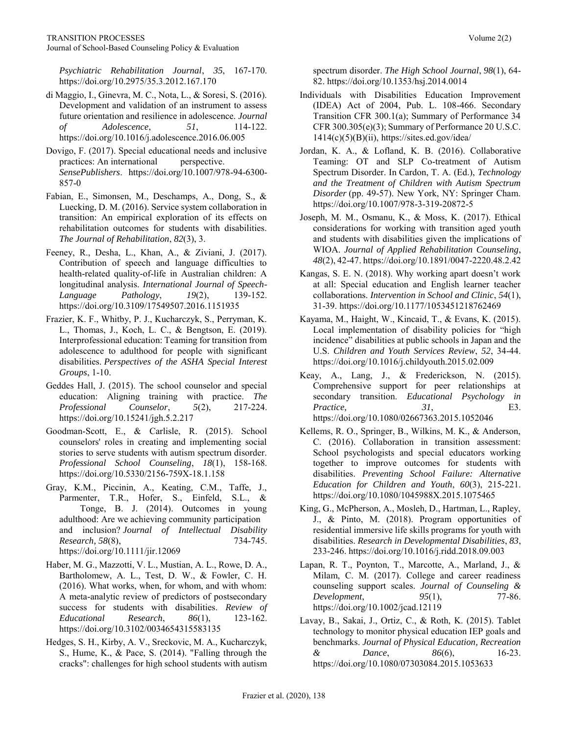*Psychiatric Rehabilitation Journal*, *35*, 167-170. <https://doi.org/10.2975/35.3.2012.167.170>

- di Maggio, I., Ginevra, M. C., Nota, L., & Soresi, S. (2016). Development and validation of an instrument to assess future orientation and resilience in adolescence. *Journal of Adolescence*, *51*, 114-122. <https://doi.org/10.1016/j.adolescence.2016.06.005>
- Dovigo, F. (2017). Special educational needs and inclusive practices: An international perspective. *SensePublishers*. [https://doi.org/10.1007/978-94-6300-](https://doi.org/10.1007/978-94-6300-857-0) [857-0](https://doi.org/10.1007/978-94-6300-857-0)
- Fabian, E., Simonsen, M., Deschamps, A., Dong, S., & Luecking, D. M. (2016). Service system collaboration in transition: An empirical exploration of its effects on rehabilitation outcomes for students with disabilities. *The Journal of Rehabilitation*, *82*(3), 3.
- Feeney, R., Desha, L., Khan, A., & Ziviani, J. (2017). Contribution of speech and language difficulties to health-related quality-of-life in Australian children: A longitudinal analysis. *International Journal of Speech-Language Pathology*, *19*(2), 139-152. <https://doi.org/10.3109/17549507.2016.1151935>
- Frazier, K. F., Whitby, P. J., Kucharczyk, S., Perryman, K. L., Thomas, J., Koch, L. C., & Bengtson, E. (2019). Interprofessional education: Teaming for transition from adolescence to adulthood for people with significant disabilities. *Perspectives of the ASHA Special Interest Groups*, 1-10.
- Geddes Hall, J. (2015). The school counselor and special education: Aligning training with practice. *The Professional Counselor*, *5*(2), 217-224. <https://doi.org/10.15241/jgh.5.2.217>
- Goodman-Scott, E., & Carlisle, R. (2015). School counselors' roles in creating and implementing social stories to serve students with autism spectrum disorder. *Professional School Counseling*, *18*(1), 158-168. <https://doi.org/10.5330/2156-759X-18.1.158>
- Gray, K.M., Piccinin, A., Keating, C.M., Taffe, J., Parmenter, T.R., Hofer, S., Einfeld, S.L., & Tonge, B. J. (2014). Outcomes in young adulthood: Are we achieving community participation and inclusion? *Journal of Intellectual Disability Research, 58*(8), 734-745. <https://doi.org/10.1111/jir.12069>
- Haber, M. G., Mazzotti, V. L., Mustian, A. L., Rowe, D. A., Bartholomew, A. L., Test, D. W., & Fowler, C. H. (2016). What works, when, for whom, and with whom: A meta-analytic review of predictors of postsecondary success for students with disabilities. *Review of Educational Research*, *86*(1), 123-162. <https://doi.org/10.3102/0034654315583135>
- Hedges, S. H., Kirby, A. V., Sreckovic, M. A., Kucharczyk, S., Hume, K., & Pace, S. (2014). "Falling through the cracks": challenges for high school students with autism

spectrum disorder. *The High School Journal*, *98*(1), 64- 82. <https://doi.org/10.1353/hsj.2014.0014>

- Individuals with Disabilities Education Improvement (IDEA) Act of 2004, Pub. L. 108-466. Secondary Transition CFR 300.1(a); Summary of Performance 34 CFR 300.305(e)(3); Summary of Performance 20 U.S.C.  $1414(c)(5)(B)(ii)$ ,<https://sites.ed.gov/idea/>
- Jordan, K. A., & Lofland, K. B. (2016). Collaborative Teaming: OT and SLP Co-treatment of Autism Spectrum Disorder. In Cardon, T. A. (Ed.), *Technology and the Treatment of Children with Autism Spectrum Disorder* (pp. 49-57). New York, NY: Springer Cham. <https://doi.org/10.1007/978-3-319-20872-5>
- Joseph, M. M., Osmanu, K., & Moss, K. (2017). Ethical considerations for working with transition aged youth and students with disabilities given the implications of WIOA. *Journal of Applied Rehabilitation Counseling*, *48*(2), 42-47[. https://doi.org/10.1891/0047-2220.48.2.42](https://doi.org/10.1891/0047-2220.48.2.42)
- Kangas, S. E. N. (2018). Why working apart doesn't work at all: Special education and English learner teacher collaborations. *Intervention in School and Clinic*, *54*(1), 31-39.<https://doi.org/10.1177/1053451218762469>
- Kayama, M., Haight, W., Kincaid, T., & Evans, K. (2015). Local implementation of disability policies for "high incidence" disabilities at public schools in Japan and the U.S. *Children and Youth Services Review*, *52*, 34-44. <https://doi.org/10.1016/j.childyouth.2015.02.009>
- Keay, A., Lang, J., & Frederickson, N. (2015). Comprehensive support for peer relationships at secondary transition. *Educational Psychology in Practice, 31*, E3. <https://doi.org/10.1080/02667363.2015.1052046>
- Kellems, R. O., Springer, B., Wilkins, M. K., & Anderson, C. (2016). Collaboration in transition assessment: School psychologists and special educators working together to improve outcomes for students with disabilities. *Preventing School Failure: Alternative Education for Children and Youth*, *60*(3), 215-221. <https://doi.org/10.1080/1045988X.2015.1075465>
- King, G., McPherson, A., Mosleh, D., Hartman, L., Rapley, J., & Pinto, M. (2018). Program opportunities of residential immersive life skills programs for youth with disabilities. *Research in Developmental Disabilities*, *83*, 233-246.<https://doi.org/10.1016/j.ridd.2018.09.003>
- Lapan, R. T., Poynton, T., Marcotte, A., Marland, J., & Milam, C. M. (2017). College and career readiness counseling support scales. *Journal of Counseling & Development*, *95*(1), 77-86. <https://doi.org/10.1002/jcad.12119>
- Lavay, B., Sakai, J., Ortiz, C., & Roth, K. (2015). Tablet technology to monitor physical education IEP goals and benchmarks. *Journal of Physical Education, Recreation & Dance*, *86*(6), 16-23. <https://doi.org/10.1080/07303084.2015.1053633>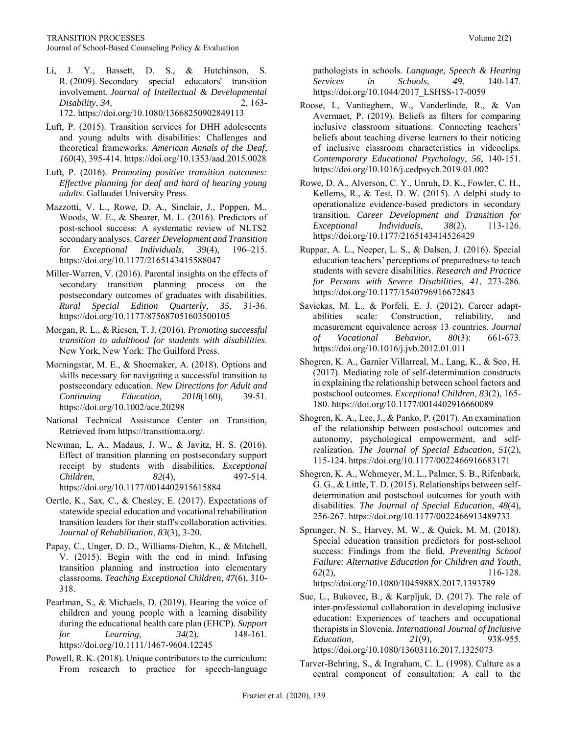Li, J. Y., Bassett, D. S., & Hutchinson, S. R. (2009). Secondary special educators' transition involvement. *Journal of Intellectual & Developmental Disability*, 34, 2, 163-

172. <https://doi.org/10.1080/13668250902849113>

- Luft, P. (2015). Transition services for DHH adolescents and young adults with disabilities: Challenges and theoretical frameworks. *American Annals of the Deaf*, *160*(4), 395-414.<https://doi.org/10.1353/aad.2015.0028>
- Luft, P. (2016). *Promoting positive transition outcomes: Effective planning for deaf and hard of hearing young adults*. Gallaudet University Press.
- Mazzotti, V. L., Rowe, D. A., Sinclair, J., Poppen, M., Woods, W. E., & Shearer, M. L. (2016). Predictors of post-school success: A systematic review of NLTS2 secondary analyses. *Career Development and Transition for Exceptional Individuals, 39*(4), 196–215. <https://doi.org/10.1177/2165143415588047>
- Miller-Warren, V. (2016). Parental insights on the effects of secondary transition planning process on the postsecondary outcomes of graduates with disabilities. *Rural Special Edition Quarterly*, *35*, 31-36. <https://doi.org/10.1177/875687051603500105>
- Morgan, R. L., & Riesen, T. J. (2016). *Promoting successful transition to adulthood for students with disabilities*. New York, New York: The Guilford Press.
- Morningstar, M. E., & Shoemaker, A. (2018). Options and skills necessary for navigating a successful transition to postsecondary education. *New Directions for Adult and Continuing Education*, *2018*(160), 39-51. <https://doi.org/10.1002/ace.20298>
- National Technical Assistance Center on Transition, Retrieved from [https://transitionta.org/.](https://transitionta.org/)
- Newman, L. A., Madaus, J. W., & Javitz, H. S. (2016). Effect of transition planning on postsecondary support receipt by students with disabilities. *Exceptional Children*, *82*(4), 497-514. <https://doi.org/10.1177/0014402915615884>
- Oertle, K., Sax, C., & Chesley, E. (2017). Expectations of statewide special education and vocational rehabilitation transition leaders for their staff's collaboration activities. *Journal of Rehabilitation*, *83*(3), 3-20.
- Papay, C., Unger, D. D., Williams-Diehm, K., & Mitchell, V. (2015). Begin with the end in mind: Infusing transition planning and instruction into elementary classrooms. *Teaching Exceptional Children*, *47*(6), 310- 318.
- Pearlman, S., & Michaels, D. (2019). Hearing the voice of children and young people with a learning disability during the educational health care plan (EHCP). *Support for Learning*, *34*(2), 148-161. <https://doi.org/10.1111/1467-9604.12245>
- Powell, R. K. (2018). Unique contributors to the curriculum: From research to practice for speech-language

pathologists in schools. *Language, Speech & Hearing Services in Schools*, *49*, 140-147. [https://doi.org/10.1044/2017\\_LSHSS-17-0059](https://doi.org/10.1044/2017_LSHSS-17-0059)

- Roose, I., Vantieghem, W., Vanderlinde, R., & Van Avermaet, P. (2019). Beliefs as filters for comparing inclusive classroom situations: Connecting teachers' beliefs about teaching diverse learners to their noticing of inclusive classroom characteristics in videoclips. *Contemporary Educational Psychology*, *56*, 140-151. <https://doi.org/10.1016/j.cedpsych.2019.01.002>
- Rowe, D. A., Alverson, C. Y., Unruh, D. K., Fowler, C. H., Kellems, R., & Test, D. W. (2015). A delphi study to operationalize evidence-based predictors in secondary transition. *Career Development and Transition for Exceptional Individuals*, *38*(2), 113-126. <https://doi.org/10.1177/2165143414526429>
- Ruppar, A. L., Neeper, L. S., & Dalsen, J. (2016). Special education teachers' perceptions of preparedness to teach students with severe disabilities. *Research and Practice for Persons with Severe Disabilities*, *41*, 273-286. <https://doi.org/10.1177/1540796916672843>
- Savickas, M. L., & Porfeli, E. J. (2012). Career adaptabilities scale: Construction, reliability, and measurement equivalence across 13 countries. *Journal of Vocational Behavior*, *80*(3): 661-673. <https://doi.org/10.1016/j.jvb.2012.01.011>
- Shogren, K. A., Garnier Villarreal, M., Lang, K., & Seo, H. (2017). Mediating role of self-determination constructs in explaining the relationship between school factors and postschool outcomes*. Exceptional Children*, *83*(2), 165- 180[. https://doi.org/10.1177/0014402916660089](https://doi.org/10.1177/0014402916660089)
- Shogren, K. A., Lee, J., & Panko, P. (2017). An examination of the relationship between postschool outcomes and autonomy, psychological empowerment, and selfrealization. *The Journal of Special Education*, *51*(2), 115-124.<https://doi.org/10.1177/0022466916683171>
- Shogren, K. A., Wehmeyer, M. L., Palmer, S. B., Rifenbark, G. G., & Little, T. D. (2015). Relationships between selfdetermination and postschool outcomes for youth with disabilities. *The Journal of Special Education*, *48*(4), 256-267.<https://doi.org/10.1177/0022466913489733>
- Sprunger, N. S., Harvey, M. W., & Quick, M. M. (2018). Special education transition predictors for post-school success: Findings from the field. *Preventing School Failure: Alternative Education for Children and Youth*, *62*(2), 116-128. <https://doi.org/10.1080/1045988X.2017.1393789>
- Suc, L., Bukovec, B., & Karpljuk, D. (2017). The role of inter-professional collaboration in developing inclusive education: Experiences of teachers and occupational therapists in Slovenia. *International Journal of Inclusive Education*, *21*(9), 938-955. <https://doi.org/10.1080/13603116.2017.1325073>
- Tarver-Behring, S., & Ingraham, C. L. (1998). Culture as a central component of consultation: A call to the